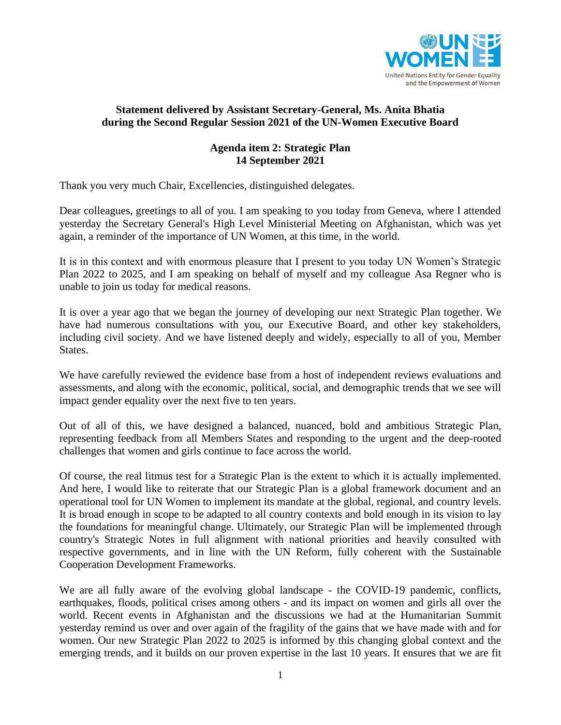

## **Statement delivered by Assistant Secretary-General, Ms. Anita Bhatia during the Second Regular Session 2021 of the UN-Women Executive Board**

## **Agenda item 2: Strategic Plan 14 September 2021**

Thank you very much Chair, Excellencies, distinguished delegates.

Dear colleagues, greetings to all of you. I am speaking to you today from Geneva, where I attended yesterday the Secretary General's High Level Ministerial Meeting on Afghanistan, which was yet again, a reminder of the importance of UN Women, at this time, in the world.

It is in this context and with enormous pleasure that I present to you today UN Women's Strategic Plan 2022 to 2025, and I am speaking on behalf of myself and my colleague Asa Regner who is unable to join us today for medical reasons.

It is over a year ago that we began the journey of developing our next Strategic Plan together. We have had numerous consultations with you, our Executive Board, and other key stakeholders, including civil society. And we have listened deeply and widely, especially to all of you, Member States.

We have carefully reviewed the evidence base from a host of independent reviews evaluations and assessments, and along with the economic, political, social, and demographic trends that we see will impact gender equality over the next five to ten years.

Out of all of this, we have designed a balanced, nuanced, bold and ambitious Strategic Plan, representing feedback from all Members States and responding to the urgent and the deep-rooted challenges that women and girls continue to face across the world.

Of course, the real litmus test for a Strategic Plan is the extent to which it is actually implemented. And here, I would like to reiterate that our Strategic Plan is a global framework document and an operational tool for UN Women to implement its mandate at the global, regional, and country levels. It is broad enough in scope to be adapted to all country contexts and bold enough in its vision to lay the foundations for meaningful change. Ultimately, our Strategic Plan will be implemented through country's Strategic Notes in full alignment with national priorities and heavily consulted with respective governments, and in line with the UN Reform, fully coherent with the Sustainable Cooperation Development Frameworks.

We are all fully aware of the evolving global landscape - the COVID-19 pandemic, conflicts, earthquakes, floods, political crises among others - and its impact on women and girls all over the world. Recent events in Afghanistan and the discussions we had at the Humanitarian Summit yesterday remind us over and over again of the fragility of the gains that we have made with and for women. Our new Strategic Plan 2022 to 2025 is informed by this changing global context and the emerging trends, and it builds on our proven expertise in the last 10 years. It ensures that we are fit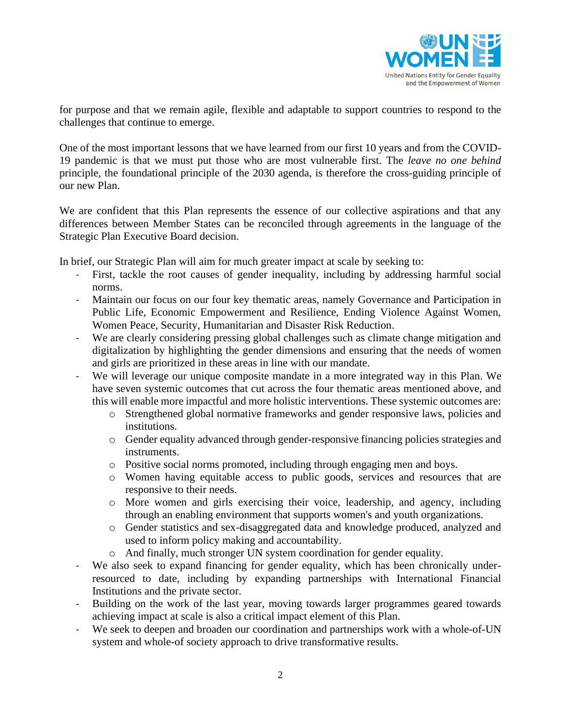

for purpose and that we remain agile, flexible and adaptable to support countries to respond to the challenges that continue to emerge.

One of the most important lessons that we have learned from our first 10 years and from the COVID-19 pandemic is that we must put those who are most vulnerable first. The *leave no one behind* principle, the foundational principle of the 2030 agenda, is therefore the cross-guiding principle of our new Plan.

We are confident that this Plan represents the essence of our collective aspirations and that any differences between Member States can be reconciled through agreements in the language of the Strategic Plan Executive Board decision.

In brief, our Strategic Plan will aim for much greater impact at scale by seeking to:

- First, tackle the root causes of gender inequality, including by addressing harmful social norms.
- Maintain our focus on our four key thematic areas, namely Governance and Participation in Public Life, Economic Empowerment and Resilience, Ending Violence Against Women, Women Peace, Security, Humanitarian and Disaster Risk Reduction.
- We are clearly considering pressing global challenges such as climate change mitigation and digitalization by highlighting the gender dimensions and ensuring that the needs of women and girls are prioritized in these areas in line with our mandate.
- We will leverage our unique composite mandate in a more integrated way in this Plan. We have seven systemic outcomes that cut across the four thematic areas mentioned above, and this will enable more impactful and more holistic interventions. These systemic outcomes are:
	- o Strengthened global normative frameworks and gender responsive laws, policies and institutions.
	- o Gender equality advanced through gender-responsive financing policies strategies and instruments.
	- o Positive social norms promoted, including through engaging men and boys.
	- o Women having equitable access to public goods, services and resources that are responsive to their needs.
	- o More women and girls exercising their voice, leadership, and agency, including through an enabling environment that supports women's and youth organizations.
	- o Gender statistics and sex-disaggregated data and knowledge produced, analyzed and used to inform policy making and accountability.
	- o And finally, much stronger UN system coordination for gender equality.
- We also seek to expand financing for gender equality, which has been chronically underresourced to date, including by expanding partnerships with International Financial Institutions and the private sector.
- Building on the work of the last year, moving towards larger programmes geared towards achieving impact at scale is also a critical impact element of this Plan.
- We seek to deepen and broaden our coordination and partnerships work with a whole-of-UN system and whole-of society approach to drive transformative results.